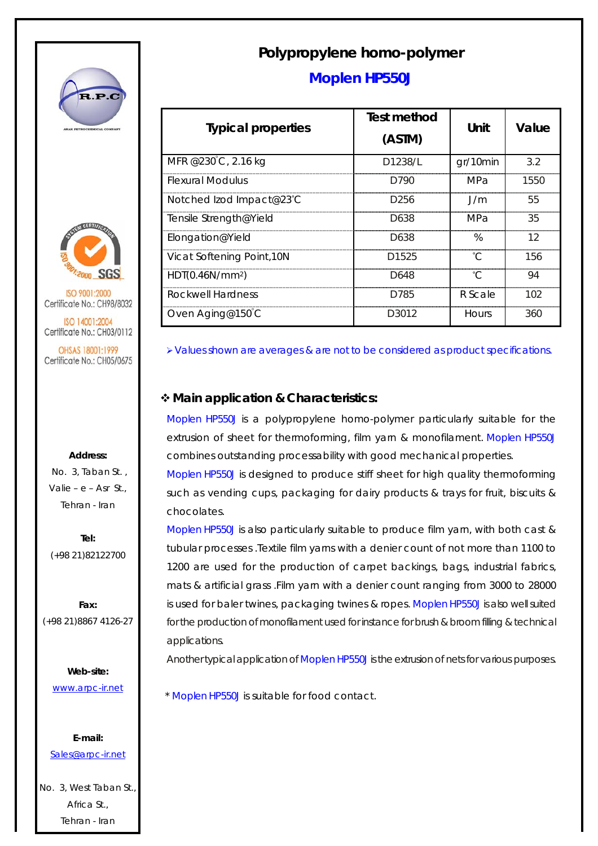



ISO 9001:2000 Certificate No.: CH98/8032

ISO 14001:2004 Certificate No.: CH03/0112

OHSAS 18001:1999 Certificate No.: CH05/0675

## **Address:**

 No. 3, Taban St. , Valie – e – Asr St., Tehran - Iran

**Tel:**  (+98 21)82122700

**Fax:**  (+98 21)8867 4126-27

> **Web-site:**  www.arpc-ir.net

**E-mail:**  Sales@arpc-ir.net

No. 3, West Taban St., Africa St., Tehran - Iran

## **Polypropylene homo-polymer**

## **Moplen HP550J**

| <b>Typical properties</b>   | <b>Test method</b><br>(ASTM) | Unit     | Value |
|-----------------------------|------------------------------|----------|-------|
| MFR @230°C, 2.16 kg         | D1238/L                      | gr/10min | 3.2   |
| <b>Flexural Modulus</b>     | D790                         | MPa      | 1550  |
| Notched Izod Impact@23°C    | D <sub>256</sub>             | 1/m      | 55    |
| Tensile Strength@Yield      | D638                         | MPa      | 35    |
| Elongation@Yield            | D638                         | $\%$     | 12    |
| Vicat Softening Point, 10N  | D1525                        |          | 156   |
| HDT(0.46N/mm <sup>2</sup> ) | D648                         |          | 94    |
| Rockwell Hardness           | D785                         | R Scale  | 102   |
| Oven Aging@150 C            | D3012                        | Hours    | 360   |

¾Values shown are averages & are not to be considered as product specifications.

## **Main application & Characteristics:**

Moplen HP550J is a polypropylene homo-polymer particularly suitable for the extrusion of sheet for thermoforming, film yarn & monofilament. Moplen HP550J combines outstanding processability with good mechanical properties.

Moplen HP550J is designed to produce stiff sheet for high quality thermoforming such as vending cups, packaging for dairy products & trays for fruit, biscuits & chocolates.

Moplen HP550J is also particularly suitable to produce film yarn, with both cast & tubular processes .Textile film yarns with a denier count of not more than 1100 to 1200 are used for the production of carpet backings, bags, industrial fabrics, mats & artificial grass .Film yarn with a denier count ranging from 3000 to 28000 is used for baler twines, packaging twines & ropes. Moplen HP550J is also well suited for the production of monofilament used for instance for brush & broom filling & technical applications.

Another typical application of Moplen HP550J is the extrusion of nets for various purposes.

\* Moplen HP550J is suitable for food contact.